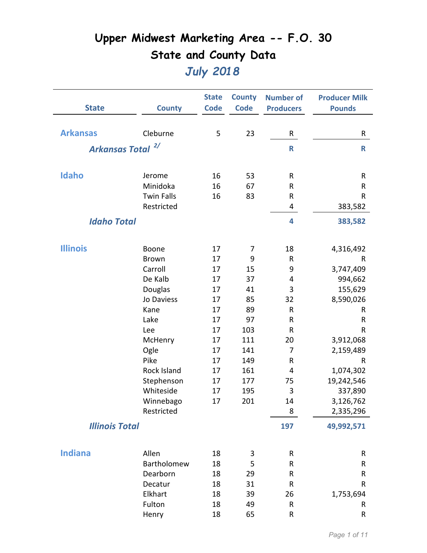|                       |                    | <b>State</b> | <b>County</b> | <b>Number of</b> | <b>Producer Milk</b> |
|-----------------------|--------------------|--------------|---------------|------------------|----------------------|
| <b>State</b>          | <b>County</b>      | <b>Code</b>  | <b>Code</b>   | <b>Producers</b> | <b>Pounds</b>        |
|                       |                    |              |               |                  |                      |
| <b>Arkansas</b>       | Cleburne           | 5            | 23            | R                | R                    |
| <b>Arkansas Total</b> | 2/                 |              |               | $\mathsf{R}$     | $\mathsf R$          |
|                       |                    |              |               |                  |                      |
|                       |                    |              |               |                  |                      |
| Idaho                 | Jerome             | 16           | 53            | R                | R                    |
|                       | Minidoka           | 16           | 67            | ${\sf R}$        | R                    |
|                       | <b>Twin Falls</b>  | 16           | 83            | R                | R                    |
|                       | Restricted         |              |               | 4                | 383,582              |
| <b>Idaho Total</b>    |                    |              |               | 4                | 383,582              |
|                       |                    |              |               |                  |                      |
|                       |                    |              |               |                  |                      |
| <b>Illinois</b>       | Boone              | 17           | 7             | 18               | 4,316,492            |
|                       | <b>Brown</b>       | 17           | 9             | ${\sf R}$        | R                    |
|                       | Carroll            | 17           | 15            | 9                | 3,747,409            |
|                       | De Kalb            | 17           | 37            | 4                | 994,662              |
|                       | Douglas            | 17           | 41            | 3                | 155,629              |
|                       | Jo Daviess         | 17           | 85            | 32               | 8,590,026            |
|                       | Kane               | 17           | 89            | R                | R                    |
|                       | Lake               | 17           | 97            | R                | R                    |
|                       | Lee                | 17           | 103           | ${\sf R}$        | R                    |
|                       | McHenry            | 17           | 111           | 20               | 3,912,068            |
|                       | Ogle               | 17           | 141           | 7                | 2,159,489            |
|                       | Pike               | 17           | 149           | R                | R                    |
|                       | <b>Rock Island</b> | 17           | 161           | 4                | 1,074,302            |
|                       | Stephenson         | 17           | 177           | 75               | 19,242,546           |
|                       | Whiteside          | 17           | 195           | 3                | 337,890              |
|                       | Winnebago          | 17           | 201           | 14               | 3,126,762            |
|                       | Restricted         |              |               | 8                | 2,335,296            |
| <b>Illinois Total</b> |                    |              |               | 197              | 49,992,571           |
|                       |                    |              |               |                  |                      |
| <b>Indiana</b>        | Allen              | 18           | 3             | ${\sf R}$        | R                    |
|                       | Bartholomew        | 18           | 5             | R                | R                    |
|                       | Dearborn           | 18           | 29            | R                | R                    |
|                       | Decatur            | 18           | 31            | ${\sf R}$        | R                    |
|                       | Elkhart            | 18           | 39            | 26               | 1,753,694            |
|                       | Fulton             | 18           | 49            | ${\sf R}$        | R                    |
|                       | Henry              | 18           | 65            | R                | R                    |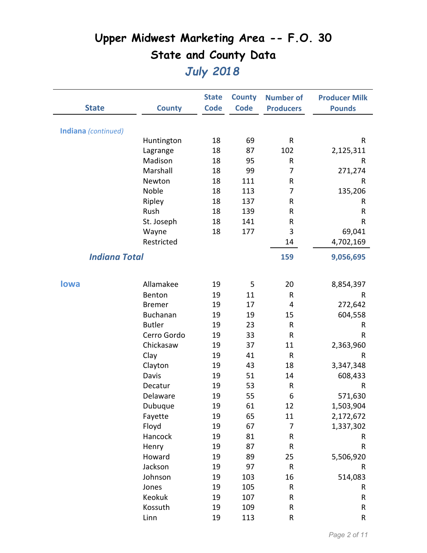|                            |                 | <b>State</b> | <b>County</b> | <b>Number of</b> | <b>Producer Milk</b> |
|----------------------------|-----------------|--------------|---------------|------------------|----------------------|
| <b>State</b>               | <b>County</b>   | <b>Code</b>  | <b>Code</b>   | <b>Producers</b> | <b>Pounds</b>        |
|                            |                 |              |               |                  |                      |
| <b>Indiana</b> (continued) |                 |              |               |                  |                      |
|                            | Huntington      | 18           | 69            | ${\sf R}$        | R                    |
|                            | Lagrange        | 18           | 87            | 102              | 2,125,311            |
|                            | Madison         | 18           | 95            | R                | R                    |
|                            | Marshall        | 18           | 99            | 7                | 271,274              |
|                            | Newton          | 18           | 111           | R                | R                    |
|                            | Noble           | 18           | 113           | 7                | 135,206              |
|                            | Ripley          | 18           | 137           | R                | R                    |
|                            | Rush            | 18           | 139           | R                | R                    |
|                            | St. Joseph      | 18           | 141           | R                | R                    |
|                            | Wayne           | 18           | 177           | 3                | 69,041               |
|                            | Restricted      |              |               | 14               | 4,702,169            |
| <b>Indiana Total</b>       |                 |              |               | 159              | 9,056,695            |
|                            |                 |              |               |                  |                      |
|                            |                 |              |               |                  |                      |
| <b>lowa</b>                | Allamakee       | 19           | 5             | 20               | 8,854,397            |
|                            | Benton          | 19           | 11            | ${\sf R}$        | R                    |
|                            | <b>Bremer</b>   | 19           | 17            | 4                | 272,642              |
|                            | <b>Buchanan</b> | 19           | 19            | 15               | 604,558              |
|                            | <b>Butler</b>   | 19           | 23            | ${\sf R}$        | R                    |
|                            | Cerro Gordo     | 19           | 33            | ${\sf R}$        | R                    |
|                            | Chickasaw       | 19           | 37            | 11               | 2,363,960            |
|                            | Clay            | 19           | 41            | $\mathsf{R}$     | R                    |
|                            | Clayton         | 19           | 43            | 18               | 3,347,348            |
|                            | Davis           | 19           | 51            | 14               | 608,433              |
|                            | Decatur         | 19           | 53            | ${\sf R}$        | R                    |
|                            | Delaware        | 19           | 55            | 6                | 571,630              |
|                            | Dubuque         | 19           | 61            | 12               | 1,503,904            |
|                            | Fayette         | 19           | 65            | 11               | 2,172,672            |
|                            | Floyd           | 19           | 67            | $\overline{7}$   | 1,337,302            |
|                            | Hancock         | 19           | 81            | ${\sf R}$        | R                    |
|                            | Henry           | 19           | 87            | ${\sf R}$        | ${\sf R}$            |
|                            | Howard          | 19           | 89            | 25               | 5,506,920            |
|                            | Jackson         | 19           | 97            | ${\sf R}$        | R                    |
|                            | Johnson         | 19           | 103           | 16               | 514,083              |
|                            | Jones           | 19           | 105           | ${\sf R}$        | R                    |
|                            | Keokuk          | 19           | 107           | ${\sf R}$        | R                    |
|                            | Kossuth         | 19           | 109           | $\sf R$          | R                    |
|                            | Linn            | 19           | 113           | ${\sf R}$        | ${\sf R}$            |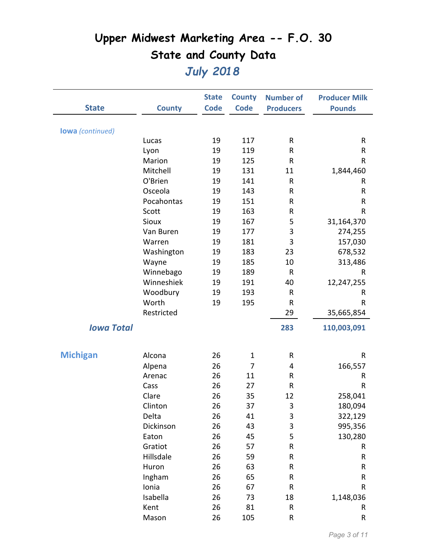|                         |                       | <b>State</b> | <b>County</b> | <b>Number of</b> | <b>Producer Milk</b> |
|-------------------------|-----------------------|--------------|---------------|------------------|----------------------|
| <b>State</b>            | <b>County</b>         | <b>Code</b>  | <b>Code</b>   | <b>Producers</b> | <b>Pounds</b>        |
|                         |                       |              |               |                  |                      |
| <b>lowa</b> (continued) |                       |              |               |                  |                      |
|                         | Lucas                 | 19           | 117           | R                | R                    |
|                         | Lyon                  | 19           | 119           | R                | ${\sf R}$            |
|                         | Marion<br>Mitchell    | 19           | 125           | $\sf R$          | ${\sf R}$            |
|                         | O'Brien               | 19           | 131<br>141    | 11               | 1,844,460            |
|                         |                       | 19           |               | R                | R                    |
|                         | Osceola<br>Pocahontas | 19           | 143           | R                | R                    |
|                         |                       | 19<br>19     | 151<br>163    | R<br>${\sf R}$   | R<br>${\sf R}$       |
|                         | Scott<br><b>Sioux</b> | 19           | 167           | 5                |                      |
|                         | Van Buren             | 19           | 177           | 3                | 31,164,370           |
|                         |                       |              | 181           | 3                | 274,255              |
|                         | Warren                | 19           | 183           | 23               | 157,030              |
|                         | Washington            | 19           |               |                  | 678,532              |
|                         | Wayne                 | 19           | 185           | 10               | 313,486              |
|                         | Winnebago             | 19           | 189           | ${\sf R}$        | R                    |
|                         | Winneshiek            | 19           | 191           | 40               | 12,247,255           |
|                         | Woodbury              | 19           | 193           | ${\sf R}$        | R                    |
|                         | Worth                 | 19           | 195           | ${\sf R}$        | R                    |
|                         | Restricted            |              |               | 29               | 35,665,854           |
| <b>Iowa Total</b>       |                       |              |               | 283              | 110,003,091          |
|                         |                       |              |               |                  |                      |
| <b>Michigan</b>         | Alcona                | 26           | $\mathbf{1}$  | $\mathsf{R}$     | R                    |
|                         | Alpena                | 26           | 7             | 4                | 166,557              |
|                         | Arenac                | 26           | 11            | ${\sf R}$        | R                    |
|                         | Cass                  | 26           | 27            | R                | R                    |
|                         | Clare                 | 26           | 35            | 12               | 258,041              |
|                         | Clinton               | 26           | 37            | 3                | 180,094              |
|                         | Delta                 | 26           | 41            | 3                | 322,129              |
|                         | Dickinson             | 26           | 43            | 3                | 995,356              |
|                         | Eaton                 | 26           | 45            | 5                | 130,280              |
|                         | Gratiot               | 26           | 57            | ${\sf R}$        | R                    |
|                         | Hillsdale             | 26           | 59            | ${\sf R}$        | R                    |
|                         | Huron                 | 26           | 63            | ${\sf R}$        | ${\sf R}$            |
|                         | Ingham                | 26           | 65            | R                | R                    |
|                         | Ionia                 | 26           | 67            | ${\sf R}$        | R                    |
|                         | Isabella              | 26           | 73            | 18               | 1,148,036            |
|                         | Kent                  | 26           | 81            | ${\sf R}$        | R                    |
|                         | Mason                 | 26           | 105           | ${\sf R}$        | R                    |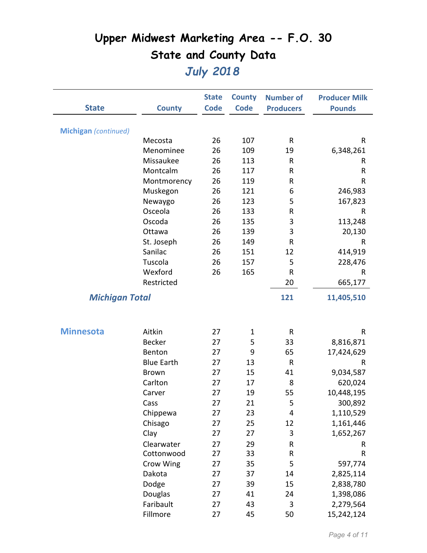|                       |                      | <b>State</b> | <b>County</b> | <b>Number of</b> | <b>Producer Milk</b> |
|-----------------------|----------------------|--------------|---------------|------------------|----------------------|
| <b>State</b>          | <b>County</b>        | <b>Code</b>  | <b>Code</b>   | <b>Producers</b> | <b>Pounds</b>        |
|                       |                      |              |               |                  |                      |
| Michigan (continued)  |                      |              | 107           |                  |                      |
|                       | Mecosta<br>Menominee | 26<br>26     | 109           | ${\sf R}$<br>19  | R                    |
|                       | Missaukee            | 26           | 113           | ${\sf R}$        | 6,348,261            |
|                       | Montcalm             |              | 117           | R                | R                    |
|                       |                      | 26<br>26     | 119           | R                | R<br>R               |
|                       | Montmorency          |              | 121           | 6                |                      |
|                       | Muskegon             | 26           |               |                  | 246,983              |
|                       | Newaygo              | 26           | 123           | 5                | 167,823              |
|                       | Osceola              | 26           | 133           | R                | R                    |
|                       | Oscoda               | 26           | 135           | 3                | 113,248              |
|                       | Ottawa               | 26           | 139           | 3                | 20,130               |
|                       | St. Joseph           | 26           | 149           | ${\sf R}$        | R                    |
|                       | Sanilac              | 26           | 151           | 12               | 414,919              |
|                       | Tuscola              | 26           | 157           | 5                | 228,476              |
|                       | Wexford              | 26           | 165           | ${\sf R}$        | R                    |
|                       | Restricted           |              |               | 20               | 665,177              |
| <b>Michigan Total</b> |                      |              |               | 121              | 11,405,510           |
|                       |                      |              |               |                  |                      |
| <b>Minnesota</b>      | Aitkin               | 27           | $\mathbf{1}$  | $\mathsf{R}$     | R                    |
|                       | <b>Becker</b>        | 27           | 5             | 33               | 8,816,871            |
|                       | Benton               | 27           | 9             | 65               | 17,424,629           |
|                       | <b>Blue Earth</b>    | 27           | 13            | ${\sf R}$        | R                    |
|                       | <b>Brown</b>         | 27           | 15            | 41               | 9,034,587            |
|                       | Carlton              | 27           | 17            | 8                | 620,024              |
|                       | Carver               | 27           | 19            | 55               | 10,448,195           |
|                       | Cass                 | 27           | 21            | 5                | 300,892              |
|                       | Chippewa             | 27           | 23            | 4                | 1,110,529            |
|                       | Chisago              | 27           | 25            | 12               | 1,161,446            |
|                       | Clay                 | 27           | 27            | 3                | 1,652,267            |
|                       | Clearwater           | 27           | 29            | R                | R                    |
|                       | Cottonwood           | 27           | 33            | ${\sf R}$        | ${\sf R}$            |
|                       | Crow Wing            | 27           | 35            | 5                | 597,774              |
|                       | Dakota               | 27           | 37            | 14               | 2,825,114            |
|                       | Dodge                | 27           | 39            | 15               | 2,838,780            |
|                       | Douglas              | 27           | 41            | 24               | 1,398,086            |
|                       | Faribault            | 27           | 43            | $\overline{3}$   | 2,279,564            |
|                       | Fillmore             | 27           | 45            | 50               | 15,242,124           |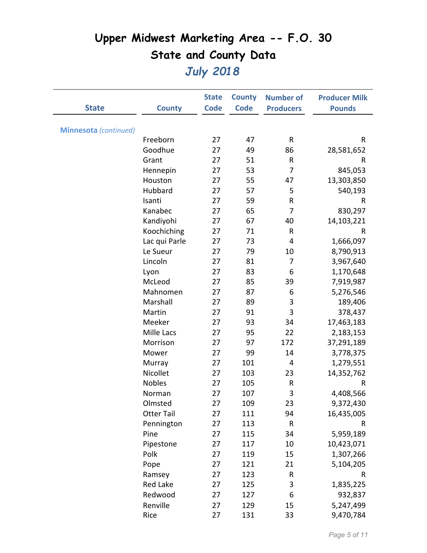|                              |                   | <b>State</b> | <b>County</b> | <b>Number of</b> | <b>Producer Milk</b> |
|------------------------------|-------------------|--------------|---------------|------------------|----------------------|
| <b>State</b>                 | <b>County</b>     | <b>Code</b>  | <b>Code</b>   | <b>Producers</b> | <b>Pounds</b>        |
|                              |                   |              |               |                  |                      |
| <b>Minnesota</b> (continued) |                   |              |               |                  |                      |
|                              | Freeborn          | 27           | 47            | R                | R                    |
|                              | Goodhue           | 27           | 49            | 86               | 28,581,652           |
|                              | Grant             | 27           | 51            | R                | R                    |
|                              | Hennepin          | 27           | 53            | $\overline{7}$   | 845,053              |
|                              | Houston           | 27           | 55            | 47               | 13,303,850           |
|                              | Hubbard           | 27           | 57            | 5                | 540,193              |
|                              | Isanti            | 27           | 59            | R                | R                    |
|                              | Kanabec           | 27           | 65            | 7                | 830,297              |
|                              | Kandiyohi         | 27           | 67            | 40               | 14,103,221           |
|                              | Koochiching       | 27           | 71            | R                | R                    |
|                              | Lac qui Parle     | 27           | 73            | 4                | 1,666,097            |
|                              | Le Sueur          | 27           | 79            | 10               | 8,790,913            |
|                              | Lincoln           | 27           | 81            | 7                | 3,967,640            |
|                              | Lyon              | 27           | 83            | 6                | 1,170,648            |
|                              | McLeod            | 27           | 85            | 39               | 7,919,987            |
|                              | Mahnomen          | 27           | 87            | 6                | 5,276,546            |
|                              | Marshall          | 27           | 89            | 3                | 189,406              |
|                              | Martin            | 27           | 91            | 3                | 378,437              |
|                              | Meeker            | 27           | 93            | 34               | 17,463,183           |
|                              | Mille Lacs        | 27           | 95            | 22               | 2,183,153            |
|                              | Morrison          | 27           | 97            | 172              | 37,291,189           |
|                              | Mower             | 27           | 99            | 14               | 3,778,375            |
|                              | Murray            | 27           | 101           | 4                | 1,279,551            |
|                              | Nicollet          | 27           | 103           | 23               | 14,352,762           |
|                              | <b>Nobles</b>     | 27           | 105           | R                | R                    |
|                              | Norman            | 27           | 107           | 3                | 4,408,566            |
|                              | Olmsted           | 27           | 109           | 23               | 9,372,430            |
|                              | <b>Otter Tail</b> | 27           | 111           | 94               | 16,435,005           |
|                              | Pennington        | 27           | 113           | R                | R                    |
|                              | Pine              | 27           | 115           | 34               | 5,959,189            |
|                              | Pipestone         | 27           | 117           | 10               | 10,423,071           |
|                              | Polk              | 27           | 119           | 15               | 1,307,266            |
|                              | Pope              | 27           | 121           | 21               | 5,104,205            |
|                              | Ramsey            | 27           | 123           | R                | R                    |
|                              | Red Lake          | 27           | 125           | 3                | 1,835,225            |
|                              | Redwood           | 27           | 127           | 6                | 932,837              |
|                              | Renville          | 27           | 129           | 15               | 5,247,499            |
|                              | Rice              | 27           | 131           | 33               | 9,470,784            |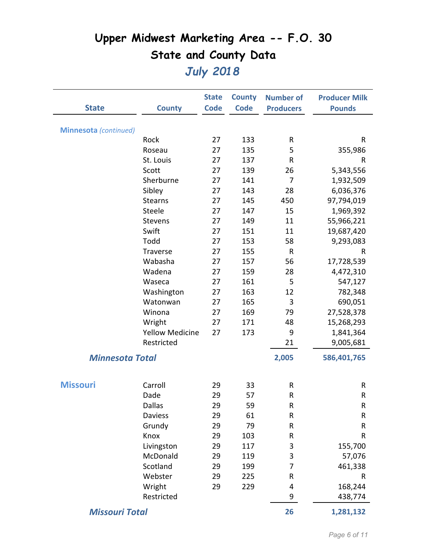|                              |                        | <b>State</b> | <b>County</b> | <b>Number of</b> | <b>Producer Milk</b> |
|------------------------------|------------------------|--------------|---------------|------------------|----------------------|
| <b>State</b>                 | <b>County</b>          | <b>Code</b>  | <b>Code</b>   | <b>Producers</b> | <b>Pounds</b>        |
|                              |                        |              |               |                  |                      |
| <b>Minnesota</b> (continued) |                        |              |               |                  |                      |
|                              | Rock                   | 27           | 133           | R                | R                    |
|                              | Roseau                 | 27           | 135           | 5                | 355,986              |
|                              | St. Louis              | 27           | 137           | R                | R                    |
|                              | Scott                  | 27           | 139           | 26               | 5,343,556            |
|                              | Sherburne              | 27           | 141           | 7                | 1,932,509            |
|                              | Sibley                 | 27           | 143           | 28               | 6,036,376            |
|                              | <b>Stearns</b>         | 27           | 145           | 450              | 97,794,019           |
|                              | Steele                 | 27           | 147           | 15               | 1,969,392            |
|                              | Stevens                | 27           | 149           | 11               | 55,966,221           |
|                              | Swift                  | 27           | 151           | 11               | 19,687,420           |
|                              | Todd                   | 27           | 153           | 58               | 9,293,083            |
|                              | Traverse               | 27           | 155           | $\mathsf{R}$     | R                    |
|                              | Wabasha                | 27           | 157           | 56               | 17,728,539           |
|                              | Wadena                 | 27           | 159           | 28               | 4,472,310            |
|                              | Waseca                 | 27           | 161           | 5                | 547,127              |
|                              | Washington             | 27           | 163           | 12               | 782,348              |
|                              | Watonwan               | 27           | 165           | 3                | 690,051              |
|                              | Winona                 | 27           | 169           | 79               | 27,528,378           |
|                              | Wright                 | 27           | 171           | 48               | 15,268,293           |
|                              | <b>Yellow Medicine</b> | 27           | 173           | 9                | 1,841,364            |
|                              | Restricted             |              |               | 21               | 9,005,681            |
| <b>Minnesota Total</b>       |                        |              |               |                  |                      |
|                              |                        |              |               | 2,005            | 586,401,765          |
|                              |                        |              |               |                  |                      |
| <b>Missouri</b>              | Carroll                | 29           | 33            | R                | R                    |
|                              | Dade                   | 29           | 57            | R                | R                    |
|                              | <b>Dallas</b>          | 29           | 59            | R                | R                    |
|                              | <b>Daviess</b>         | 29           | 61            | R                | ${\sf R}$            |
|                              | Grundy                 | 29           | 79            | R                | R                    |
|                              | Knox                   | 29           | 103           | R                | R                    |
|                              | Livingston             | 29           | 117           | 3                | 155,700              |
|                              | McDonald               | 29           | 119           | 3                | 57,076               |
|                              | Scotland               | 29           | 199           | 7                | 461,338              |
|                              | Webster                | 29           | 225           | R                | R                    |
|                              | Wright                 | 29           | 229           | 4                | 168,244              |
|                              | Restricted             |              |               | 9                | 438,774              |
| <b>Missouri Total</b>        |                        |              |               | 26               | 1,281,132            |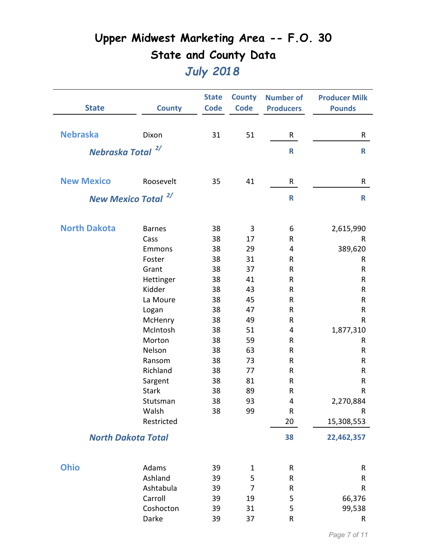| <b>State</b>                 | <b>County</b>                  | <b>State</b><br><b>Code</b> | <b>County</b><br><b>Code</b> | <b>Number of</b><br><b>Producers</b> | <b>Producer Milk</b><br><b>Pounds</b> |
|------------------------------|--------------------------------|-----------------------------|------------------------------|--------------------------------------|---------------------------------------|
|                              |                                |                             |                              |                                      |                                       |
| <b>Nebraska</b>              | Dixon                          | 31                          | 51                           | R                                    | R                                     |
| Nebraska Total <sup>2/</sup> |                                |                             |                              | $\mathsf{R}$                         | $\mathbf R$                           |
|                              |                                |                             |                              |                                      |                                       |
| <b>New Mexico</b>            | Roosevelt                      | 35                          | 41                           | R                                    | R                                     |
|                              | New Mexico Total <sup>2/</sup> |                             |                              | $\mathsf{R}$                         | R                                     |
|                              |                                |                             |                              |                                      |                                       |
| <b>North Dakota</b>          | <b>Barnes</b>                  | 38                          | 3                            | 6                                    | 2,615,990                             |
|                              | Cass                           | 38                          | 17                           | R                                    | R                                     |
|                              | Emmons                         | 38                          | 29                           | 4                                    | 389,620                               |
|                              | Foster                         | 38                          | 31                           | $\sf R$                              | R                                     |
|                              | Grant                          | 38                          | 37                           | $\sf R$                              | R                                     |
|                              | Hettinger                      | 38                          | 41                           | R                                    | R                                     |
|                              | Kidder                         | 38                          | 43                           | R                                    | R                                     |
|                              | La Moure                       | 38                          | 45                           | $\sf R$                              | R                                     |
|                              | Logan                          | 38                          | 47                           | R                                    | R                                     |
|                              | McHenry                        | 38                          | 49                           | R                                    | R                                     |
|                              | McIntosh                       | 38                          | 51                           | 4                                    | 1,877,310                             |
|                              | Morton                         | 38                          | 59                           | R                                    | R                                     |
|                              | Nelson                         | 38                          | 63                           | ${\sf R}$                            | R                                     |
|                              | Ransom                         | 38                          | 73                           | R                                    | R                                     |
|                              | Richland                       | 38                          | 77                           | $\sf R$                              | R                                     |
|                              | Sargent                        | 38                          | 81                           | R                                    | R                                     |
|                              | <b>Stark</b>                   | 38                          | 89                           | $\sf R$                              | R                                     |
|                              | Stutsman                       | 38                          | 93                           | 4                                    | 2,270,884                             |
|                              | Walsh                          | 38                          | 99                           | ${\sf R}$                            | R                                     |
|                              | Restricted                     |                             |                              | 20                                   | 15,308,553                            |
|                              | <b>North Dakota Total</b>      |                             |                              | 38                                   | 22,462,357                            |
| <b>Ohio</b>                  | Adams                          | 39                          | $\mathbf 1$                  | ${\sf R}$                            |                                       |
|                              | Ashland                        | 39                          | 5                            | R                                    | R<br>R                                |
|                              | Ashtabula                      | 39                          | 7                            | ${\sf R}$                            | R                                     |
|                              | Carroll                        |                             |                              |                                      |                                       |
|                              |                                | 39                          | 19                           | 5                                    | 66,376                                |
|                              | Coshocton<br>Darke             | 39<br>39                    | 31<br>37                     | 5<br>${\sf R}$                       | 99,538<br>R                           |
|                              |                                |                             |                              |                                      |                                       |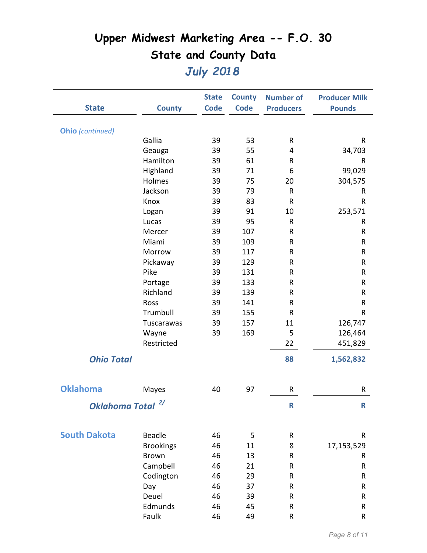|                         |                  | <b>State</b> | <b>County</b> | <b>Number of</b> | <b>Producer Milk</b> |
|-------------------------|------------------|--------------|---------------|------------------|----------------------|
| <b>State</b>            | <b>County</b>    | <b>Code</b>  | <b>Code</b>   | <b>Producers</b> | <b>Pounds</b>        |
|                         |                  |              |               |                  |                      |
| <b>Ohio</b> (continued) |                  |              |               |                  |                      |
|                         | Gallia           | 39           | 53            | R                | R                    |
|                         | Geauga           | 39           | 55            | 4                | 34,703               |
|                         | Hamilton         | 39           | 61            | R                | R                    |
|                         | Highland         | 39           | 71            | 6                | 99,029               |
|                         | Holmes           | 39           | 75            | 20               | 304,575              |
|                         | Jackson          | 39           | 79            | R                | R                    |
|                         | Knox             | 39           | 83            | $\sf R$          | R                    |
|                         | Logan            | 39           | 91            | 10               | 253,571              |
|                         | Lucas            | 39           | 95            | R                | R                    |
|                         | Mercer           | 39           | 107           | R                | R                    |
|                         | Miami            | 39           | 109           | R                | R                    |
|                         | Morrow           | 39           | 117           | R                | R                    |
|                         | Pickaway         | 39           | 129           | R                | R                    |
|                         | Pike             | 39           | 131           | R                | R                    |
|                         | Portage          | 39           | 133           | R                | ${\sf R}$            |
|                         | Richland         | 39           | 139           | R                | R                    |
|                         | Ross             | 39           | 141           | R                | R                    |
|                         | Trumbull         | 39           | 155           | R                | R                    |
|                         | Tuscarawas       | 39           | 157           | 11               | 126,747              |
|                         | Wayne            | 39           | 169           | 5                | 126,464              |
|                         | Restricted       |              |               | 22               | 451,829              |
| <b>Ohio Total</b>       |                  |              |               | 88               | 1,562,832            |
|                         |                  |              |               |                  |                      |
| <b>Oklahoma</b>         | Mayes            | 40           | 97            | R                | R                    |
|                         | 2/               |              |               |                  |                      |
| <b>Oklahoma Total</b>   |                  |              |               | R                | $\mathsf{R}$         |
|                         |                  |              |               |                  |                      |
| <b>South Dakota</b>     | <b>Beadle</b>    | 46           | 5             | R                | R                    |
|                         | <b>Brookings</b> | 46           | 11            | 8                | 17,153,529           |
|                         | <b>Brown</b>     | 46           | 13            | R                | R                    |
|                         | Campbell         | 46           | 21            | R                | R                    |
|                         | Codington        | 46           | 29            | R                | R                    |
|                         | Day              | 46           | 37            | R                | R                    |
|                         | Deuel            | 46           | 39            | R                | R                    |
|                         | Edmunds          | 46           | 45            | R                | R                    |
|                         | Faulk            | 46           | 49            | R                | R                    |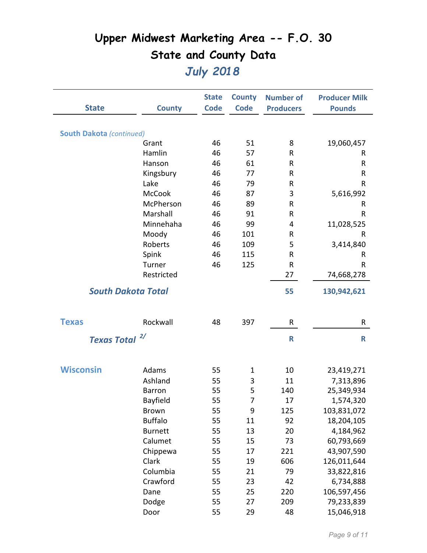|                                 |                           | <b>State</b> | <b>County</b>  | <b>Number of</b> | <b>Producer Milk</b> |
|---------------------------------|---------------------------|--------------|----------------|------------------|----------------------|
| <b>State</b>                    | <b>County</b>             | <b>Code</b>  | <b>Code</b>    | <b>Producers</b> | <b>Pounds</b>        |
|                                 |                           |              |                |                  |                      |
| <b>South Dakota (continued)</b> |                           |              |                |                  |                      |
|                                 | Grant                     | 46           | 51             | 8                | 19,060,457           |
|                                 | Hamlin                    | 46           | 57             | R                | R                    |
|                                 | Hanson                    | 46           | 61             | ${\sf R}$        | R                    |
|                                 | Kingsbury                 | 46           | 77             | R                | R                    |
|                                 | Lake                      | 46           | 79             | R                | R                    |
|                                 | McCook                    | 46           | 87             | 3                | 5,616,992            |
|                                 | McPherson                 | 46           | 89             | R                | R                    |
|                                 | Marshall                  | 46           | 91             | R                | R                    |
|                                 | Minnehaha                 | 46           | 99             | 4                | 11,028,525           |
|                                 | Moody                     | 46           | 101            | ${\sf R}$        | R                    |
|                                 | Roberts                   | 46           | 109            | 5                | 3,414,840            |
|                                 | Spink                     | 46           | 115            | R                | R                    |
|                                 | Turner                    | 46           | 125            | ${\sf R}$        | R                    |
|                                 | Restricted                |              |                | 27               | 74,668,278           |
|                                 | <b>South Dakota Total</b> |              |                | 55               | 130,942,621          |
|                                 |                           |              |                |                  |                      |
| <b>Texas</b>                    | Rockwall                  | 48           | 397            | R                | R                    |
|                                 |                           |              |                |                  |                      |
| Texas Total <sup>2/</sup>       |                           |              |                | $\mathsf{R}$     | R                    |
|                                 |                           |              |                |                  |                      |
| <b>Wisconsin</b>                | Adams                     | 55           | $\mathbf{1}$   | 10               | 23,419,271           |
|                                 | Ashland                   | 55           | 3              | 11               | 7,313,896            |
|                                 | <b>Barron</b>             | 55           | 5              | 140              | 25,349,934           |
|                                 | Bayfield                  | 55           | $\overline{7}$ | 17               | 1,574,320            |
|                                 | <b>Brown</b>              | 55           | 9              | 125              | 103,831,072          |
|                                 | <b>Buffalo</b>            | 55           | 11             | 92               | 18,204,105           |
|                                 | <b>Burnett</b>            | 55           | 13             | 20               | 4,184,962            |
|                                 | Calumet                   | 55           | 15             | 73               | 60,793,669           |
|                                 | Chippewa                  | 55           | 17             | 221              | 43,907,590           |
|                                 | Clark                     | 55           | 19             | 606              | 126,011,644          |
|                                 | Columbia                  | 55           | 21             | 79               | 33,822,816           |
|                                 | Crawford                  | 55           | 23             | 42               | 6,734,888            |
|                                 | Dane                      | 55           | 25             | 220              | 106,597,456          |
|                                 | Dodge                     | 55           | 27             | 209              | 79,233,839           |
|                                 | Door                      | 55           | 29             | 48               | 15,046,918           |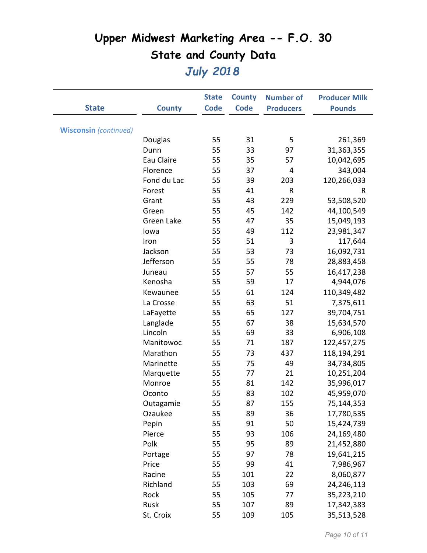|                              |               | <b>State</b> | <b>County</b> | <b>Number of</b> | <b>Producer Milk</b> |
|------------------------------|---------------|--------------|---------------|------------------|----------------------|
| <b>State</b>                 | <b>County</b> | <b>Code</b>  | <b>Code</b>   | <b>Producers</b> | <b>Pounds</b>        |
|                              |               |              |               |                  |                      |
| <b>Wisconsin</b> (continued) |               |              |               |                  |                      |
|                              | Douglas       | 55           | 31            | 5                | 261,369              |
|                              | Dunn          | 55           | 33            | 97               | 31,363,355           |
|                              | Eau Claire    | 55           | 35            | 57               | 10,042,695           |
|                              | Florence      | 55           | 37            | 4                | 343,004              |
|                              | Fond du Lac   | 55           | 39            | 203              | 120,266,033          |
|                              | Forest        | 55           | 41            | ${\sf R}$        | R                    |
|                              | Grant         | 55           | 43            | 229              | 53,508,520           |
|                              | Green         | 55           | 45            | 142              | 44,100,549           |
|                              | Green Lake    | 55           | 47            | 35               | 15,049,193           |
|                              | lowa          | 55           | 49            | 112              | 23,981,347           |
|                              | Iron          | 55           | 51            | 3                | 117,644              |
|                              | Jackson       | 55           | 53            | 73               | 16,092,731           |
|                              | Jefferson     | 55           | 55            | 78               | 28,883,458           |
|                              | Juneau        | 55           | 57            | 55               | 16,417,238           |
|                              | Kenosha       | 55           | 59            | 17               | 4,944,076            |
|                              | Kewaunee      | 55           | 61            | 124              | 110,349,482          |
|                              | La Crosse     | 55           | 63            | 51               | 7,375,611            |
|                              | LaFayette     | 55           | 65            | 127              | 39,704,751           |
|                              | Langlade      | 55           | 67            | 38               | 15,634,570           |
|                              | Lincoln       | 55           | 69            | 33               | 6,906,108            |
|                              | Manitowoc     | 55           | 71            | 187              | 122,457,275          |
|                              | Marathon      | 55           | 73            | 437              | 118,194,291          |
|                              | Marinette     | 55           | 75            | 49               | 34,734,805           |
|                              | Marquette     | 55           | 77            | 21               | 10,251,204           |
|                              | Monroe        | 55           | 81            | 142              | 35,996,017           |
|                              | Oconto        | 55           | 83            | 102              | 45,959,070           |
|                              | Outagamie     | 55           | 87            | 155              | 75,144,353           |
|                              | Ozaukee       | 55           | 89            | 36               | 17,780,535           |
|                              | Pepin         | 55           | 91            | 50               | 15,424,739           |
|                              | Pierce        | 55           | 93            | 106              | 24,169,480           |
|                              | Polk          | 55           | 95            | 89               | 21,452,880           |
|                              | Portage       | 55           | 97            | 78               | 19,641,215           |
|                              | Price         | 55           | 99            | 41               | 7,986,967            |
|                              | Racine        | 55           | 101           | 22               | 8,060,877            |
|                              | Richland      | 55           | 103           | 69               | 24,246,113           |
|                              | Rock          | 55           | 105           | 77               | 35,223,210           |
|                              | Rusk          | 55           | 107           | 89               | 17,342,383           |
|                              | St. Croix     | 55           | 109           | 105              | 35,513,528           |